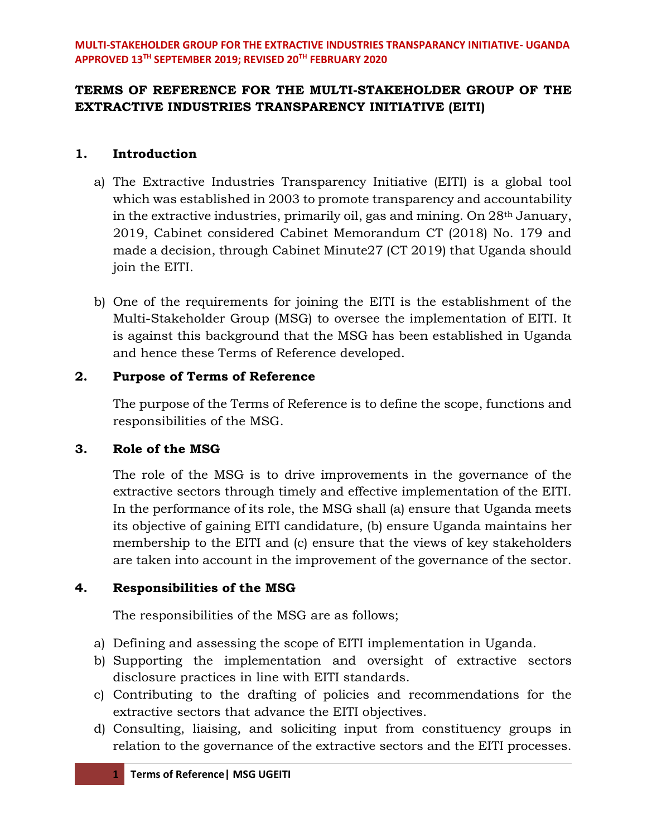# **TERMS OF REFERENCE FOR THE MULTI-STAKEHOLDER GROUP OF THE EXTRACTIVE INDUSTRIES TRANSPARENCY INITIATIVE (EITI)**

## **1. Introduction**

- a) The Extractive Industries Transparency Initiative (EITI) is a global tool which was established in 2003 to promote transparency and accountability in the extractive industries, primarily oil, gas and mining. On 28th January, 2019, Cabinet considered Cabinet Memorandum CT (2018) No. 179 and made a decision, through Cabinet Minute27 (CT 2019) that Uganda should join the EITI.
- b) One of the requirements for joining the EITI is the establishment of the Multi-Stakeholder Group (MSG) to oversee the implementation of EITI. It is against this background that the MSG has been established in Uganda and hence these Terms of Reference developed.

## **2. Purpose of Terms of Reference**

The purpose of the Terms of Reference is to define the scope, functions and responsibilities of the MSG.

# **3. Role of the MSG**

The role of the MSG is to drive improvements in the governance of the extractive sectors through timely and effective implementation of the EITI. In the performance of its role, the MSG shall (a) ensure that Uganda meets its objective of gaining EITI candidature, (b) ensure Uganda maintains her membership to the EITI and (c) ensure that the views of key stakeholders are taken into account in the improvement of the governance of the sector.

# **4. Responsibilities of the MSG**

The responsibilities of the MSG are as follows;

- a) Defining and assessing the scope of EITI implementation in Uganda.
- b) Supporting the implementation and oversight of extractive sectors disclosure practices in line with EITI standards.
- c) Contributing to the drafting of policies and recommendations for the extractive sectors that advance the EITI objectives.
- d) Consulting, liaising, and soliciting input from constituency groups in relation to the governance of the extractive sectors and the EITI processes.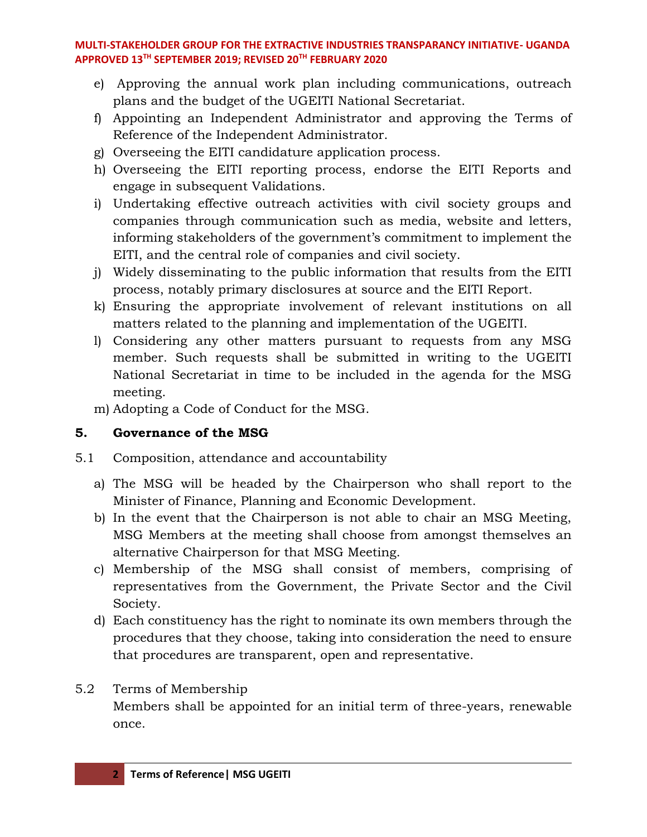- e) Approving the annual work plan including communications, outreach plans and the budget of the UGEITI National Secretariat.
- f) Appointing an Independent Administrator and approving the Terms of Reference of the Independent Administrator.
- g) Overseeing the EITI candidature application process.
- h) Overseeing the EITI reporting process, endorse the EITI Reports and engage in subsequent Validations.
- i) Undertaking effective outreach activities with civil society groups and companies through communication such as media, website and letters, informing stakeholders of the government's commitment to implement the EITI, and the central role of companies and civil society.
- j) Widely disseminating to the public information that results from the EITI process, notably primary disclosures at source and the EITI Report.
- k) Ensuring the appropriate involvement of relevant institutions on all matters related to the planning and implementation of the UGEITI.
- l) Considering any other matters pursuant to requests from any MSG member. Such requests shall be submitted in writing to the UGEITI National Secretariat in time to be included in the agenda for the MSG meeting.
- m) Adopting a Code of Conduct for the MSG.

# **5. Governance of the MSG**

- 5.1 Composition, attendance and accountability
	- a) The MSG will be headed by the Chairperson who shall report to the Minister of Finance, Planning and Economic Development.
	- b) In the event that the Chairperson is not able to chair an MSG Meeting, MSG Members at the meeting shall choose from amongst themselves an alternative Chairperson for that MSG Meeting.
	- c) Membership of the MSG shall consist of members, comprising of representatives from the Government, the Private Sector and the Civil Society.
	- d) Each constituency has the right to nominate its own members through the procedures that they choose, taking into consideration the need to ensure that procedures are transparent, open and representative.

# 5.2 Terms of Membership

Members shall be appointed for an initial term of three-years, renewable once.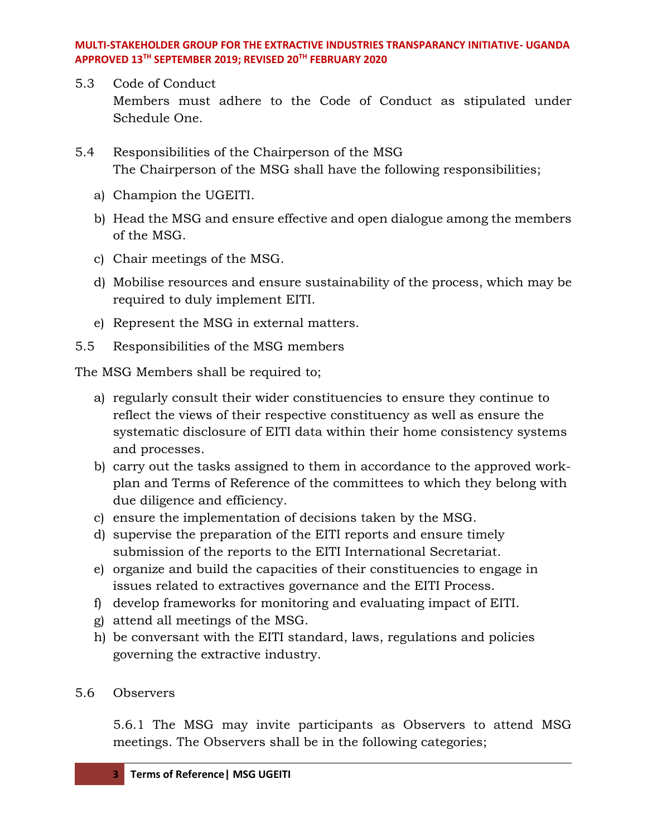- 5.3 Code of Conduct Members must adhere to the Code of Conduct as stipulated under Schedule One.
- 5.4 Responsibilities of the Chairperson of the MSG The Chairperson of the MSG shall have the following responsibilities;
	- a) Champion the UGEITI.
	- b) Head the MSG and ensure effective and open dialogue among the members of the MSG.
	- c) Chair meetings of the MSG.
	- d) Mobilise resources and ensure sustainability of the process, which may be required to duly implement EITI.
	- e) Represent the MSG in external matters.
- 5.5 Responsibilities of the MSG members

The MSG Members shall be required to;

- a) regularly consult their wider constituencies to ensure they continue to reflect the views of their respective constituency as well as ensure the systematic disclosure of EITI data within their home consistency systems and processes.
- b) carry out the tasks assigned to them in accordance to the approved workplan and Terms of Reference of the committees to which they belong with due diligence and efficiency.
- c) ensure the implementation of decisions taken by the MSG.
- d) supervise the preparation of the EITI reports and ensure timely submission of the reports to the EITI International Secretariat.
- e) organize and build the capacities of their constituencies to engage in issues related to extractives governance and the EITI Process.
- f) develop frameworks for monitoring and evaluating impact of EITI.
- g) attend all meetings of the MSG.
- h) be conversant with the EITI standard, laws, regulations and policies governing the extractive industry.

### 5.6 Observers

5.6.1 The MSG may invite participants as Observers to attend MSG meetings. The Observers shall be in the following categories;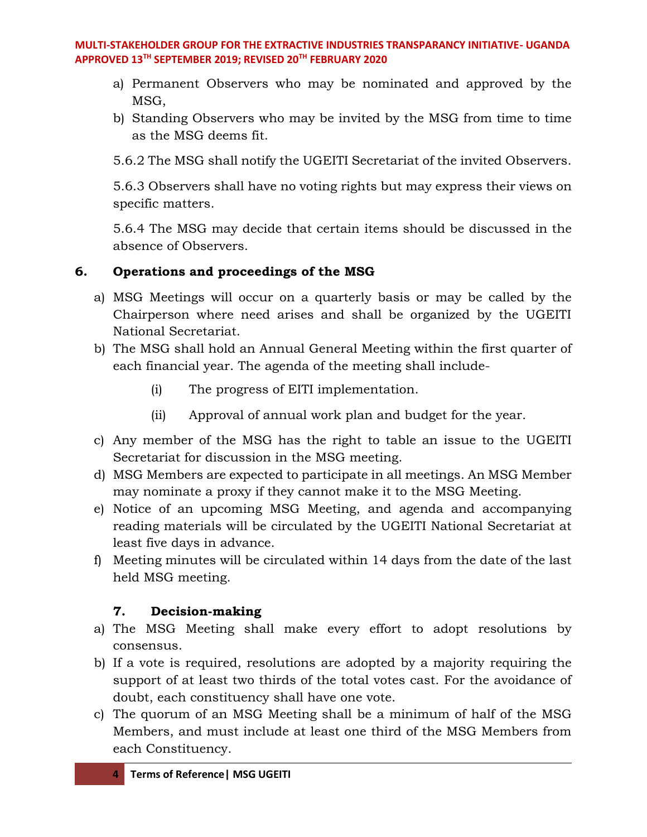- a) Permanent Observers who may be nominated and approved by the MSG,
- b) Standing Observers who may be invited by the MSG from time to time as the MSG deems fit.

5.6.2 The MSG shall notify the UGEITI Secretariat of the invited Observers.

5.6.3 Observers shall have no voting rights but may express their views on specific matters.

5.6.4 The MSG may decide that certain items should be discussed in the absence of Observers.

# **6. Operations and proceedings of the MSG**

- a) MSG Meetings will occur on a quarterly basis or may be called by the Chairperson where need arises and shall be organized by the UGEITI National Secretariat.
- b) The MSG shall hold an Annual General Meeting within the first quarter of each financial year. The agenda of the meeting shall include-
	- (i) The progress of EITI implementation.
	- (ii) Approval of annual work plan and budget for the year.
- c) Any member of the MSG has the right to table an issue to the UGEITI Secretariat for discussion in the MSG meeting.
- d) MSG Members are expected to participate in all meetings. An MSG Member may nominate a proxy if they cannot make it to the MSG Meeting.
- e) Notice of an upcoming MSG Meeting, and agenda and accompanying reading materials will be circulated by the UGEITI National Secretariat at least five days in advance.
- f) Meeting minutes will be circulated within 14 days from the date of the last held MSG meeting.

## **7. Decision-making**

- a) The MSG Meeting shall make every effort to adopt resolutions by consensus.
- b) If a vote is required, resolutions are adopted by a majority requiring the support of at least two thirds of the total votes cast. For the avoidance of doubt, each constituency shall have one vote.
- c) The quorum of an MSG Meeting shall be a minimum of half of the MSG Members, and must include at least one third of the MSG Members from each Constituency.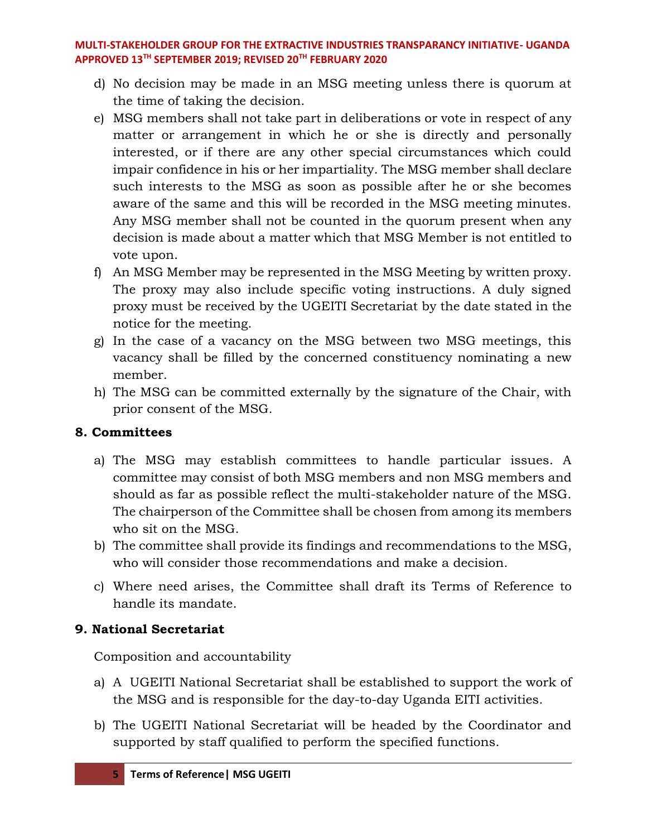- d) No decision may be made in an MSG meeting unless there is quorum at the time of taking the decision.
- e) MSG members shall not take part in deliberations or vote in respect of any matter or arrangement in which he or she is directly and personally interested, or if there are any other special circumstances which could impair confidence in his or her impartiality. The MSG member shall declare such interests to the MSG as soon as possible after he or she becomes aware of the same and this will be recorded in the MSG meeting minutes. Any MSG member shall not be counted in the quorum present when any decision is made about a matter which that MSG Member is not entitled to vote upon.
- f) An MSG Member may be represented in the MSG Meeting by written proxy. The proxy may also include specific voting instructions. A duly signed proxy must be received by the UGEITI Secretariat by the date stated in the notice for the meeting.
- g) In the case of a vacancy on the MSG between two MSG meetings, this vacancy shall be filled by the concerned constituency nominating a new member.
- h) The MSG can be committed externally by the signature of the Chair, with prior consent of the MSG.

## **8. Committees**

- a) The MSG may establish committees to handle particular issues. A committee may consist of both MSG members and non MSG members and should as far as possible reflect the multi-stakeholder nature of the MSG. The chairperson of the Committee shall be chosen from among its members who sit on the MSG.
- b) The committee shall provide its findings and recommendations to the MSG, who will consider those recommendations and make a decision.
- c) Where need arises, the Committee shall draft its Terms of Reference to handle its mandate.

## **9. National Secretariat**

Composition and accountability

- a) A UGEITI National Secretariat shall be established to support the work of the MSG and is responsible for the day-to-day Uganda EITI activities.
- b) The UGEITI National Secretariat will be headed by the Coordinator and supported by staff qualified to perform the specified functions.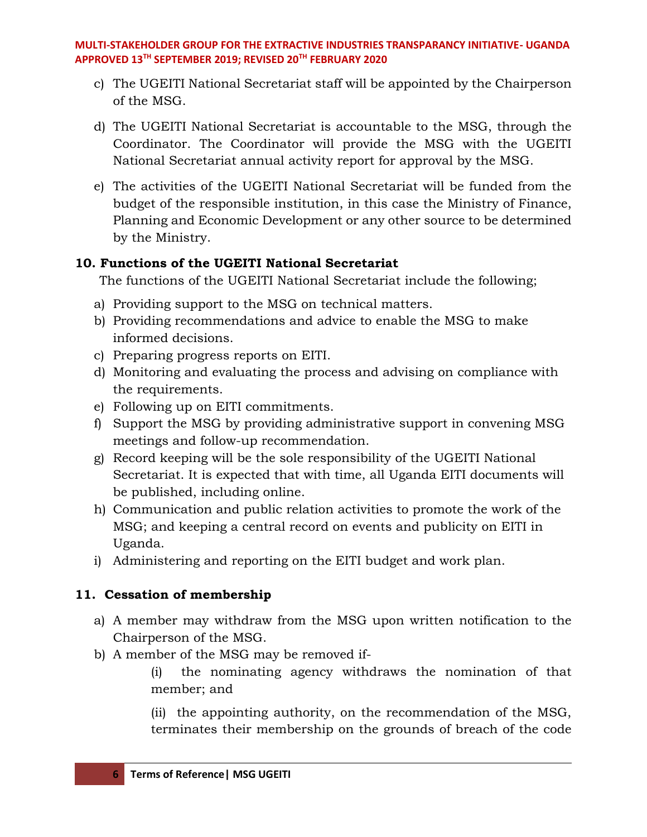- c) The UGEITI National Secretariat staff will be appointed by the Chairperson of the MSG.
- d) The UGEITI National Secretariat is accountable to the MSG, through the Coordinator. The Coordinator will provide the MSG with the UGEITI National Secretariat annual activity report for approval by the MSG.
- e) The activities of the UGEITI National Secretariat will be funded from the budget of the responsible institution, in this case the Ministry of Finance, Planning and Economic Development or any other source to be determined by the Ministry.

## **10. Functions of the UGEITI National Secretariat**

The functions of the UGEITI National Secretariat include the following;

- a) Providing support to the MSG on technical matters.
- b) Providing recommendations and advice to enable the MSG to make informed decisions.
- c) Preparing progress reports on EITI.
- d) Monitoring and evaluating the process and advising on compliance with the requirements.
- e) Following up on EITI commitments.
- f) Support the MSG by providing administrative support in convening MSG meetings and follow-up recommendation.
- g) Record keeping will be the sole responsibility of the UGEITI National Secretariat. It is expected that with time, all Uganda EITI documents will be published, including online.
- h) Communication and public relation activities to promote the work of the MSG; and keeping a central record on events and publicity on EITI in Uganda.
- i) Administering and reporting on the EITI budget and work plan.

# **11. Cessation of membership**

- a) A member may withdraw from the MSG upon written notification to the Chairperson of the MSG.
- b) A member of the MSG may be removed if-
	- (i) the nominating agency withdraws the nomination of that member; and

(ii) the appointing authority, on the recommendation of the MSG, terminates their membership on the grounds of breach of the code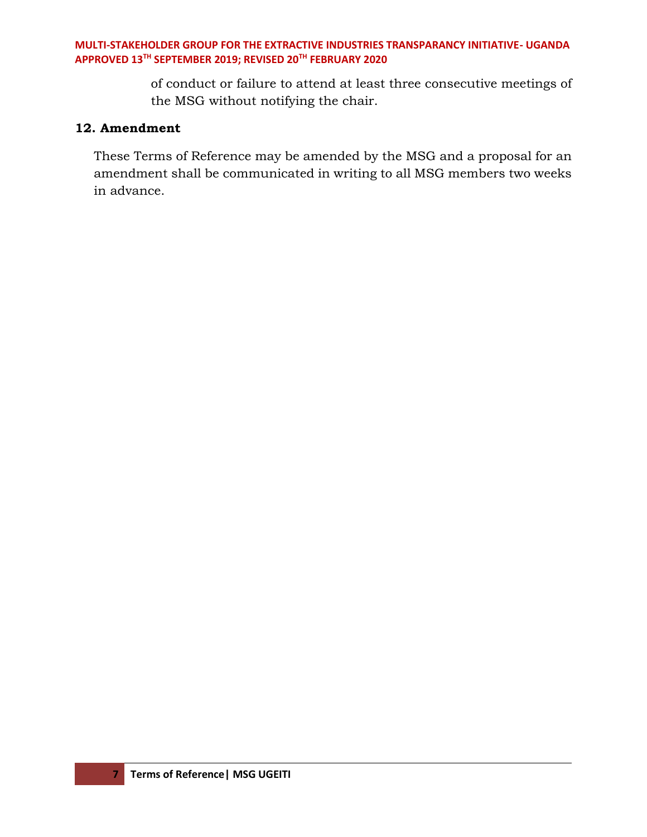of conduct or failure to attend at least three consecutive meetings of the MSG without notifying the chair.

### **12. Amendment**

These Terms of Reference may be amended by the MSG and a proposal for an amendment shall be communicated in writing to all MSG members two weeks in advance.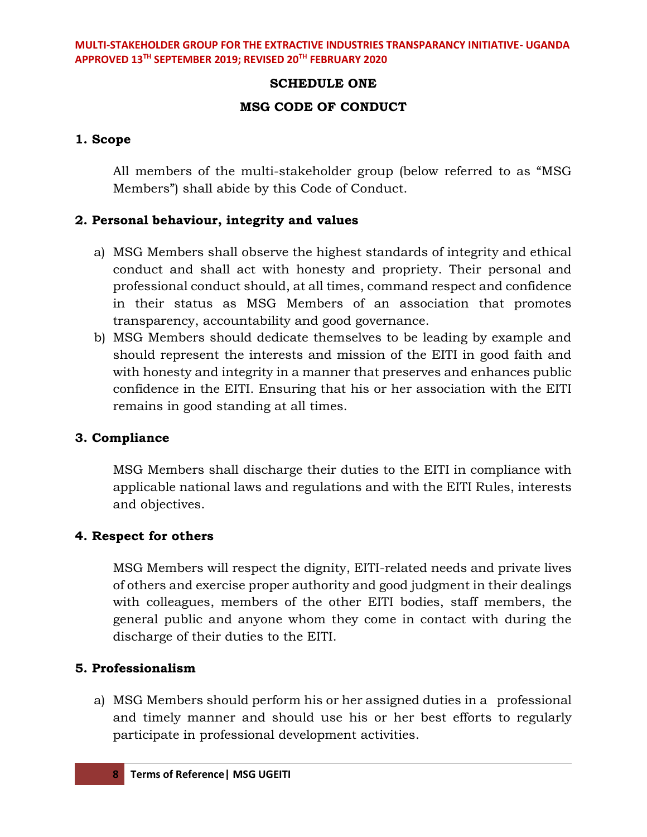### **SCHEDULE ONE**

### **MSG CODE OF CONDUCT**

### **1. Scope**

All members of the multi-stakeholder group (below referred to as "MSG Members") shall abide by this Code of Conduct.

### **2. Personal behaviour, integrity and values**

- a) MSG Members shall observe the highest standards of integrity and ethical conduct and shall act with honesty and propriety. Their personal and professional conduct should, at all times, command respect and confidence in their status as MSG Members of an association that promotes transparency, accountability and good governance.
- b) MSG Members should dedicate themselves to be leading by example and should represent the interests and mission of the EITI in good faith and with honesty and integrity in a manner that preserves and enhances public confidence in the EITI. Ensuring that his or her association with the EITI remains in good standing at all times.

### **3. Compliance**

MSG Members shall discharge their duties to the EITI in compliance with applicable national laws and regulations and with the EITI Rules, interests and objectives.

### **4. Respect for others**

MSG Members will respect the dignity, EITI-related needs and private lives of others and exercise proper authority and good judgment in their dealings with colleagues, members of the other EITI bodies, staff members, the general public and anyone whom they come in contact with during the discharge of their duties to the EITI.

### **5. Professionalism**

a) MSG Members should perform his or her assigned duties in a professional and timely manner and should use his or her best efforts to regularly participate in professional development activities.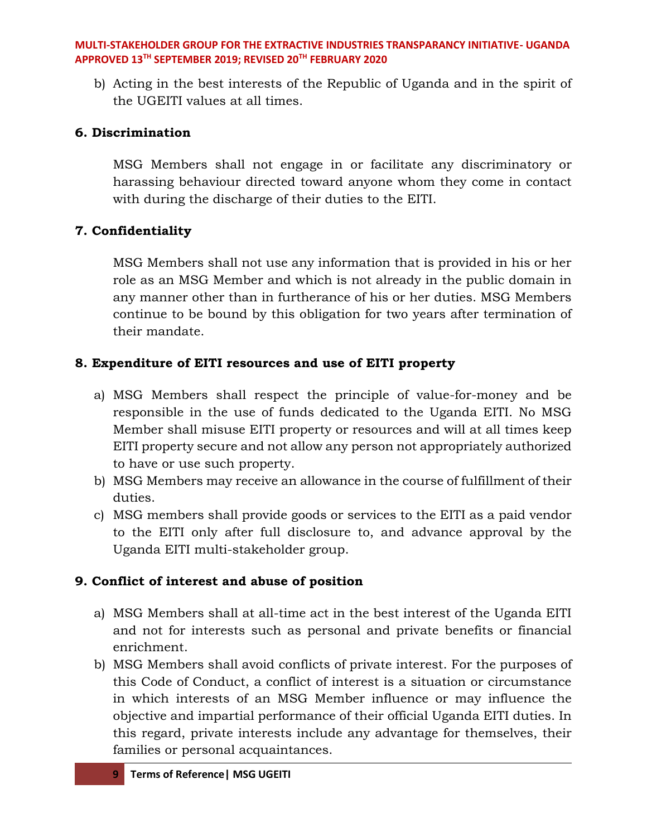b) Acting in the best interests of the Republic of Uganda and in the spirit of the UGEITI values at all times.

## **6. Discrimination**

MSG Members shall not engage in or facilitate any discriminatory or harassing behaviour directed toward anyone whom they come in contact with during the discharge of their duties to the EITI.

## **7. Confidentiality**

MSG Members shall not use any information that is provided in his or her role as an MSG Member and which is not already in the public domain in any manner other than in furtherance of his or her duties. MSG Members continue to be bound by this obligation for two years after termination of their mandate.

## **8. Expenditure of EITI resources and use of EITI property**

- a) MSG Members shall respect the principle of value-for-money and be responsible in the use of funds dedicated to the Uganda EITI. No MSG Member shall misuse EITI property or resources and will at all times keep EITI property secure and not allow any person not appropriately authorized to have or use such property.
- b) MSG Members may receive an allowance in the course of fulfillment of their duties.
- c) MSG members shall provide goods or services to the EITI as a paid vendor to the EITI only after full disclosure to, and advance approval by the Uganda EITI multi-stakeholder group.

## **9. Conflict of interest and abuse of position**

- a) MSG Members shall at all-time act in the best interest of the Uganda EITI and not for interests such as personal and private benefits or financial enrichment.
- b) MSG Members shall avoid conflicts of private interest. For the purposes of this Code of Conduct, a conflict of interest is a situation or circumstance in which interests of an MSG Member influence or may influence the objective and impartial performance of their official Uganda EITI duties. In this regard, private interests include any advantage for themselves, their families or personal acquaintances.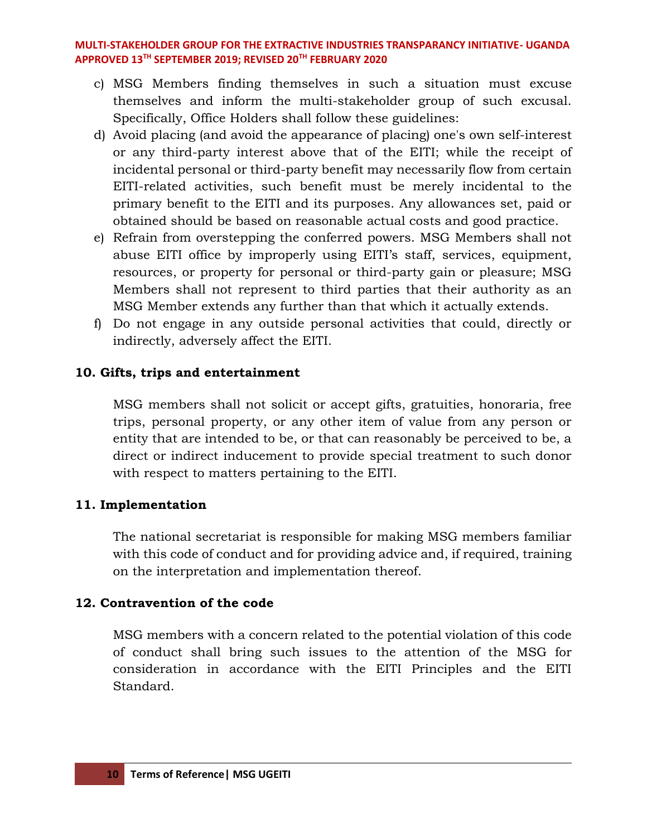- c) MSG Members finding themselves in such a situation must excuse themselves and inform the multi-stakeholder group of such excusal. Specifically, Office Holders shall follow these guidelines:
- d) Avoid placing (and avoid the appearance of placing) one's own self-interest or any third-party interest above that of the EITI; while the receipt of incidental personal or third-party benefit may necessarily flow from certain EITI-related activities, such benefit must be merely incidental to the primary benefit to the EITI and its purposes. Any allowances set, paid or obtained should be based on reasonable actual costs and good practice.
- e) Refrain from overstepping the conferred powers. MSG Members shall not abuse EITI office by improperly using EITI's staff, services, equipment, resources, or property for personal or third-party gain or pleasure; MSG Members shall not represent to third parties that their authority as an MSG Member extends any further than that which it actually extends.
- f) Do not engage in any outside personal activities that could, directly or indirectly, adversely affect the EITI.

### **10. Gifts, trips and entertainment**

MSG members shall not solicit or accept gifts, gratuities, honoraria, free trips, personal property, or any other item of value from any person or entity that are intended to be, or that can reasonably be perceived to be, a direct or indirect inducement to provide special treatment to such donor with respect to matters pertaining to the EITI.

### **11. Implementation**

The national secretariat is responsible for making MSG members familiar with this code of conduct and for providing advice and, if required, training on the interpretation and implementation thereof.

### **12. Contravention of the code**

MSG members with a concern related to the potential violation of this code of conduct shall bring such issues to the attention of the MSG for consideration in accordance with the EITI Principles and the EITI Standard.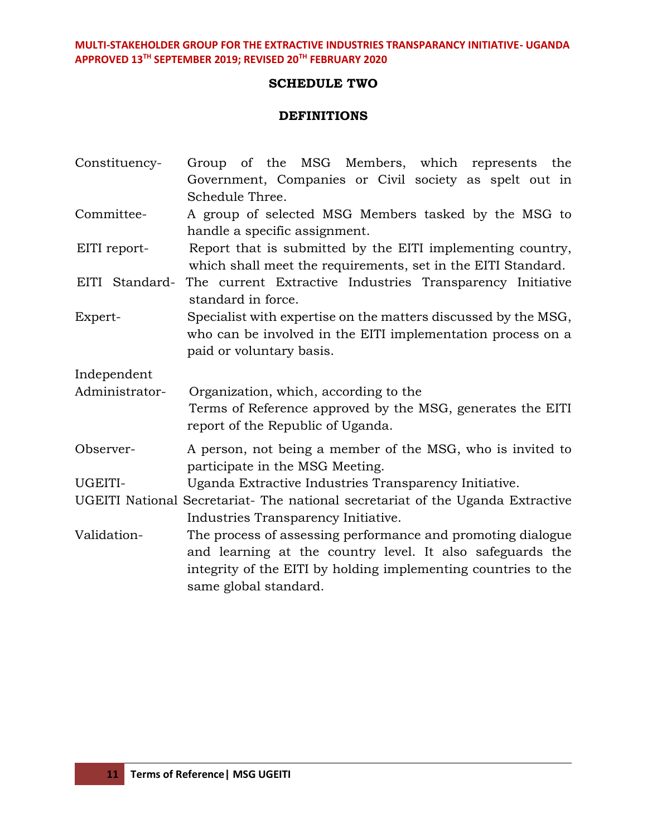#### **SCHEDULE TWO**

#### **DEFINITIONS**

Constituency- Group of the MSG Members, which represents the Government, Companies or Civil society as spelt out in Schedule Three. Committee- A group of selected MSG Members tasked by the MSG to handle a specific assignment. EITI report- Report that is submitted by the EITI implementing country, which shall meet the requirements, set in the EITI Standard. EITI Standard- The current Extractive Industries Transparency Initiative standard in force. Expert- Specialist with expertise on the matters discussed by the MSG, who can be involved in the EITI implementation process on a paid or voluntary basis. Independent Administrator- Organization, which, according to the Terms of Reference approved by the MSG, generates the EITI report of the Republic of Uganda. Observer- A person, not being a member of the MSG, who is invited to participate in the MSG Meeting. UGEITI- Uganda Extractive Industries Transparency Initiative. UGEITI National Secretariat- The national secretariat of the Uganda Extractive Industries Transparency Initiative. Validation- The process of assessing performance and promoting dialogue and learning at the country level. It also safeguards the integrity of the EITI by holding implementing countries to the same global standard.